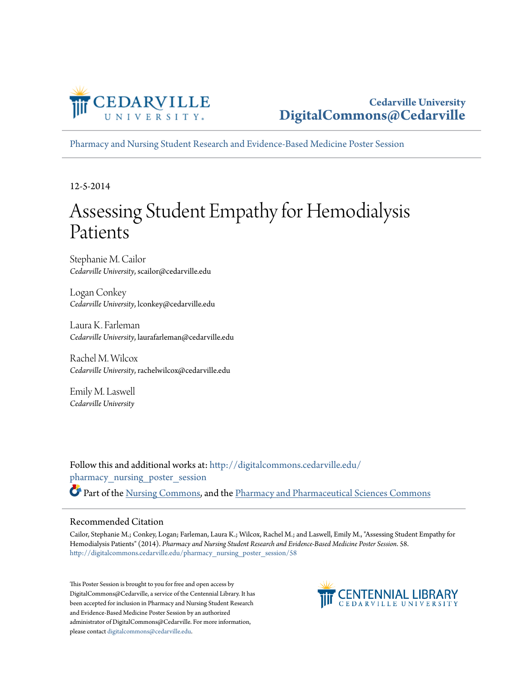

[Pharmacy and Nursing Student Research and Evidence-Based Medicine Poster Session](http://digitalcommons.cedarville.edu/pharmacy_nursing_poster_session?utm_source=digitalcommons.cedarville.edu%2Fpharmacy_nursing_poster_session%2F58&utm_medium=PDF&utm_campaign=PDFCoverPages)

12-5-2014

#### Assessing Student Empathy for Hemodialysis Patients

Stephanie M. Cailor *Cedarville University*, scailor@cedarville.edu

Logan Conkey *Cedarville University*, lconkey@cedarville.edu

Laura K. Farleman *Cedarville University*, laurafarleman@cedarville.edu

Rachel M. Wilcox *Cedarville University*, rachelwilcox@cedarville.edu

Emily M. Laswell *Cedarville University*

Follow this and additional works at: [http://digitalcommons.cedarville.edu/](http://digitalcommons.cedarville.edu/pharmacy_nursing_poster_session?utm_source=digitalcommons.cedarville.edu%2Fpharmacy_nursing_poster_session%2F58&utm_medium=PDF&utm_campaign=PDFCoverPages) [pharmacy\\_nursing\\_poster\\_session](http://digitalcommons.cedarville.edu/pharmacy_nursing_poster_session?utm_source=digitalcommons.cedarville.edu%2Fpharmacy_nursing_poster_session%2F58&utm_medium=PDF&utm_campaign=PDFCoverPages) Part of the [Nursing Commons](http://network.bepress.com/hgg/discipline/718?utm_source=digitalcommons.cedarville.edu%2Fpharmacy_nursing_poster_session%2F58&utm_medium=PDF&utm_campaign=PDFCoverPages), and the [Pharmacy and Pharmaceutical Sciences Commons](http://network.bepress.com/hgg/discipline/731?utm_source=digitalcommons.cedarville.edu%2Fpharmacy_nursing_poster_session%2F58&utm_medium=PDF&utm_campaign=PDFCoverPages)

#### Recommended Citation

Cailor, Stephanie M.; Conkey, Logan; Farleman, Laura K.; Wilcox, Rachel M.; and Laswell, Emily M., "Assessing Student Empathy for Hemodialysis Patients" (2014). *Pharmacy and Nursing Student Research and Evidence-Based Medicine Poster Session*. 58. [http://digitalcommons.cedarville.edu/pharmacy\\_nursing\\_poster\\_session/58](http://digitalcommons.cedarville.edu/pharmacy_nursing_poster_session/58?utm_source=digitalcommons.cedarville.edu%2Fpharmacy_nursing_poster_session%2F58&utm_medium=PDF&utm_campaign=PDFCoverPages)

This Poster Session is brought to you for free and open access by DigitalCommons@Cedarville, a service of the Centennial Library. It has been accepted for inclusion in Pharmacy and Nursing Student Research and Evidence-Based Medicine Poster Session by an authorized administrator of DigitalCommons@Cedarville. For more information, please contact [digitalcommons@cedarville.edu.](mailto:digitalcommons@cedarville.edu)